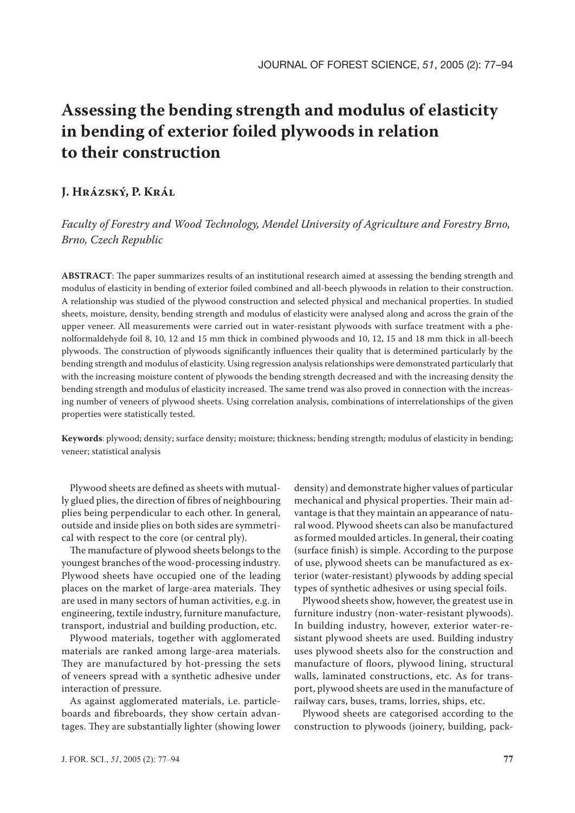# **Assessing the bending strength and modulus of elasticity in bending of exterior foiled plywoods in relation to their construction**

# **J. HRÁZSKÝ, P. KRÁL**

*Faculty of Forestry and Wood Technology, Mendel University of Agriculture and Forestry Brno, Brno, Czech Republic*

**ABSTRACT**: The paper summarizes results of an institutional research aimed at assessing the bending strength and modulus of elasticity in bending of exterior foiled combined and all-beech plywoods in relation to their construction. A relationship was studied of the plywood construction and selected physical and mechanical properties. In studied sheets, moisture, density, bending strength and modulus of elasticity were analysed along and across the grain of the upper veneer. All measurements were carried out in water-resistant plywoods with surface treatment with a phenolformaldehyde foil 8, 10, 12 and 15 mm thick in combined plywoods and 10, 12, 15 and 18 mm thick in all-beech plywoods. The construction of plywoods significantly influences their quality that is determined particularly by the bending strength and modulus of elasticity. Using regression analysis relationships were demonstrated particularly that with the increasing moisture content of plywoods the bending strength decreased and with the increasing density the bending strength and modulus of elasticity increased. The same trend was also proved in connection with the increasing number of veneers of plywood sheets. Using correlation analysis, combinations of interrelationships of the given properties were statistically tested.

**Keywords**: plywood; density; surface density; moisture; thickness; bending strength; modulus of elasticity in bending; veneer; statistical analysis

Plywood sheets are defined as sheets with mutually glued plies, the direction of fibres of neighbouring plies being perpendicular to each other. In general, outside and inside plies on both sides are symmetrical with respect to the core (or central ply).

The manufacture of plywood sheets belongs to the youngest branches of the wood-processing industry. Plywood sheets have occupied one of the leading places on the market of large-area materials. They are used in many sectors of human activities, e.g. in engineering, textile industry, furniture manufacture, transport, industrial and building production, etc.

Plywood materials, together with agglomerated materials are ranked among large-area materials. They are manufactured by hot-pressing the sets of veneers spread with a synthetic adhesive under interaction of pressure.

As against agglomerated materials, i.e. particleboards and fibreboards, they show certain advantages. They are substantially lighter (showing lower density) and demonstrate higher values of particular mechanical and physical properties. Their main advantage is that they maintain an appearance of natural wood. Plywood sheets can also be manufactured as formed moulded articles. In general, their coating (surface finish) is simple. According to the purpose of use, plywood sheets can be manufactured as exterior (water-resistant) plywoods by adding special types of synthetic adhesives or using special foils.

Plywood sheets show, however, the greatest use in furniture industry (non-water-resistant plywoods). In building industry, however, exterior water-resistant plywood sheets are used. Building industry uses plywood sheets also for the construction and manufacture of floors, plywood lining, structural walls, laminated constructions, etc. As for transport, plywood sheets are used in the manufacture of railway cars, buses, trams, lorries, ships, etc.

Plywood sheets are categorised according to the construction to plywoods (joinery, building, pack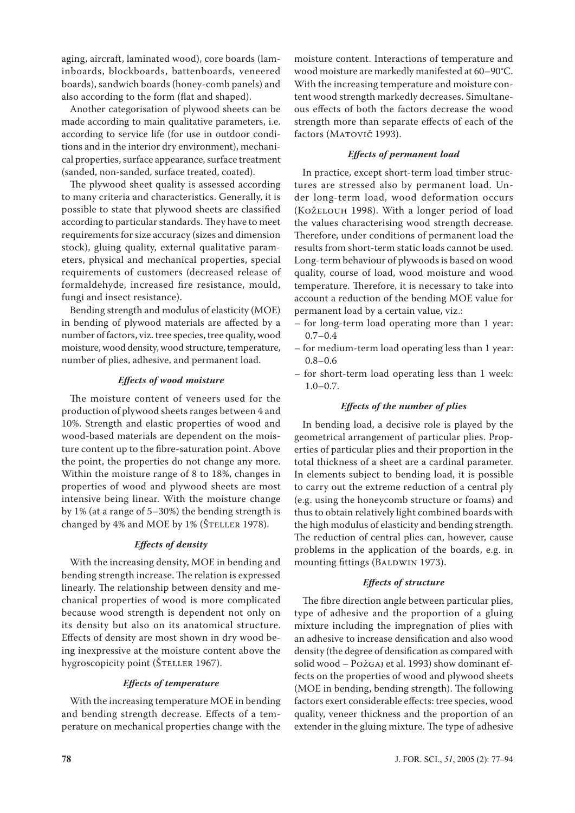aging, aircraft, laminated wood), core boards (laminboards, blockboards, battenboards, veneered boards), sandwich boards (honey-comb panels) and also according to the form (flat and shaped).

Another categorisation of plywood sheets can be made according to main qualitative parameters, i.e. according to service life (for use in outdoor conditions and in the interior dry environment), mechanical properties, surface appearance, surface treatment (sanded, non-sanded, surface treated, coated).

The plywood sheet quality is assessed according to many criteria and characteristics. Generally, it is possible to state that plywood sheets are classified according to particular standards. They have to meet requirements for size accuracy (sizes and dimension stock), gluing quality, external qualitative parameters, physical and mechanical properties, special requirements of customers (decreased release of formaldehyde, increased fire resistance, mould, fungi and insect resistance).

Bending strength and modulus of elasticity (MOE) in bending of plywood materials are affected by a number of factors, viz. tree species, tree quality, wood moisture, wood density, wood structure, temperature, number of plies, adhesive, and permanent load.

## *Effects of wood moisture*

The moisture content of veneers used for the production of plywood sheets ranges between 4 and 10%. Strength and elastic properties of wood and wood-based materials are dependent on the moisture content up to the fibre-saturation point. Above the point, the properties do not change any more. Within the moisture range of 8 to 18%, changes in properties of wood and plywood sheets are most intensive being linear. With the moisture change by 1% (at a range of 5–30%) the bending strength is changed by 4% and MOE by 1% (ŠTELLER 1978).

#### *Effects of density*

With the increasing density, MOE in bending and bending strength increase. The relation is expressed linearly. The relationship between density and mechanical properties of wood is more complicated because wood strength is dependent not only on its density but also on its anatomical structure. Effects of density are most shown in dry wood being inexpressive at the moisture content above the hygroscopicity point (ŠTELLER 1967).

#### *Effects of temperature*

With the increasing temperature MOE in bending and bending strength decrease. Effects of a temperature on mechanical properties change with the

moisture content. Interactions of temperature and wood moisture are markedly manifested at 60–90°C. With the increasing temperature and moisture content wood strength markedly decreases. Simultaneous effects of both the factors decrease the wood strength more than separate effects of each of the factors (MATOVIČ 1993).

## *Effects of permanent load*

In practice, except short-term load timber structures are stressed also by permanent load. Under long-term load, wood deformation occurs (KOŽELOUH 1998). With a longer period of load the values characterising wood strength decrease. Therefore, under conditions of permanent load the results from short-term static loads cannot be used. Long-term behaviour of plywoods is based on wood quality, course of load, wood moisture and wood temperature. Therefore, it is necessary to take into account a reduction of the bending MOE value for permanent load by a certain value, viz.:

- for long-term load operating more than 1 year:  $0.7-0.4$
- for medium-term load operating less than 1 year: 0.8–0.6
- for short-term load operating less than 1 week:  $1.0 - 0.7$ .

# *Effects of the number of plies*

In bending load, a decisive role is played by the geometrical arrangement of particular plies. Properties of particular plies and their proportion in the total thickness of a sheet are a cardinal parameter. In elements subject to bending load, it is possible to carry out the extreme reduction of a central ply (e.g. using the honeycomb structure or foams) and thus to obtain relatively light combined boards with the high modulus of elasticity and bending strength. The reduction of central plies can, however, cause problems in the application of the boards, e.g. in mounting fittings (BALDWIN 1973).

# *Effects of structure*

The fibre direction angle between particular plies, type of adhesive and the proportion of a gluing mixture including the impregnation of plies with an adhesive to increase densification and also wood density (the degree of densification as compared with solid wood – POŽGAJ et al. 1993) show dominant effects on the properties of wood and plywood sheets (MOE in bending, bending strength). The following factors exert considerable effects: tree species, wood quality, veneer thickness and the proportion of an extender in the gluing mixture. The type of adhesive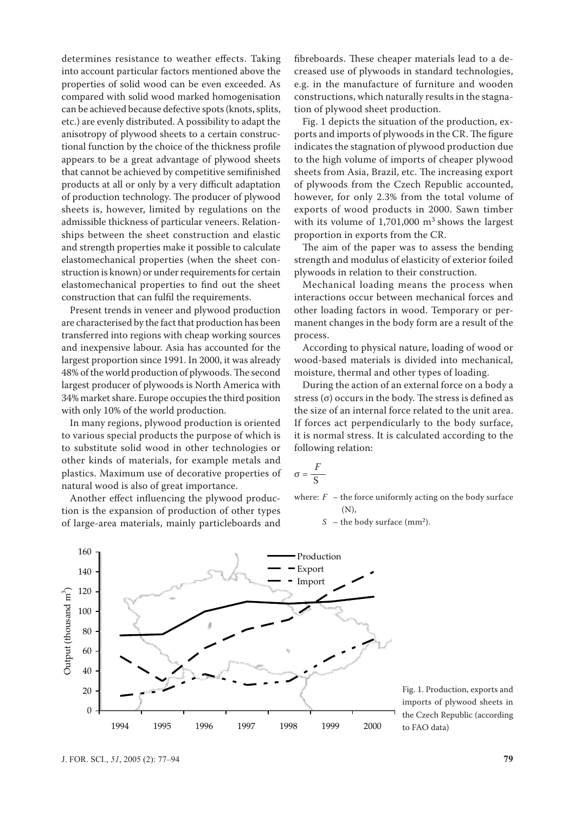determines resistance to weather effects. Taking into account particular factors mentioned above the properties of solid wood can be even exceeded. As compared with solid wood marked homogenisation can be achieved because defective spots (knots, splits, etc.) are evenly distributed. A possibility to adapt the anisotropy of plywood sheets to a certain constructional function by the choice of the thickness profile appears to be a great advantage of plywood sheets that cannot be achieved by competitive semifinished products at all or only by a very difficult adaptation of production technology. The producer of plywood sheets is, however, limited by regulations on the admissible thickness of particular veneers. Relationships between the sheet construction and elastic and strength properties make it possible to calculate elastomechanical properties (when the sheet construction is known) or under requirements for certain elastomechanical properties to find out the sheet construction that can fulfil the requirements.

Present trends in veneer and plywood production are characterised by the fact that production has been transferred into regions with cheap working sources and inexpensive labour. Asia has accounted for the largest proportion since 1991. In 2000, it was already 48% of the world production of plywoods. The second largest producer of plywoods is North America with 34% market share. Europe occupies the third position with only 10% of the world production.

In many regions, plywood production is oriented to various special products the purpose of which is to substitute solid wood in other technologies or other kinds of materials, for example metals and plastics. Maximum use of decorative properties of natural wood is also of great importance.

Another effect influencing the plywood production is the expansion of production of other types of large-area materials, mainly particleboards and

fibreboards. These cheaper materials lead to a decreased use of plywoods in standard technologies, e.g. in the manufacture of furniture and wooden constructions, which naturally results in the stagnation of plywood sheet production.

Fig. 1 depicts the situation of the production, exports and imports of plywoods in the CR. The figure indicates the stagnation of plywood production due to the high volume of imports of cheaper plywood sheets from Asia, Brazil, etc. The increasing export of plywoods from the Czech Republic accounted, however, for only 2.3% from the total volume of exports of wood products in 2000. Sawn timber with its volume of  $1,701,000$  m<sup>3</sup> shows the largest proportion in exports from the CR.

The aim of the paper was to assess the bending strength and modulus of elasticity of exterior foiled plywoods in relation to their construction.

Mechanical loading means the process when interactions occur between mechanical forces and other loading factors in wood. Temporary or permanent changes in the body form are a result of the process.

According to physical nature, loading of wood or wood-based materials is divided into mechanical, moisture, thermal and other types of loading.

During the action of an external force on a body a stress  $(\sigma)$  occurs in the body. The stress is defined as the size of an internal force related to the unit area. If forces act perpendicularly to the body surface, it is normal stress. It is calculated according to the following relation:

$$
\sigma = \frac{F}{S}
$$

where:  $F -$  the force uniformly acting on the body surface (N),

 $S$  – the body surface (mm<sup>2</sup>).



Fig. 1. Production, exports and imports of plywood sheets in the Czech Republic (according to FAO data)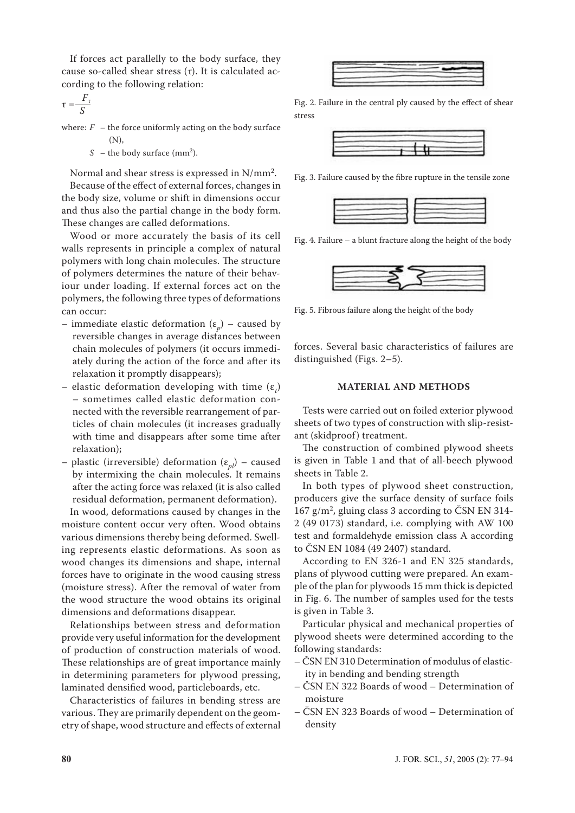If forces act parallelly to the body surface, they cause so-called shear stress (τ). It is calculated according to the following relation:

$$
\tau = \frac{F_{\tau}}{S}
$$

where:  $F -$  the force uniformly acting on the body surface (N),

 $S$  – the body surface (mm<sup>2</sup>).

Normal and shear stress is expressed in N/mm2. Because of the effect of external forces, changes in the body size, volume or shift in dimensions occur and thus also the partial change in the body form. These changes are called deformations.

Wood or more accurately the basis of its cell walls represents in principle a complex of natural polymers with long chain molecules. The structure of polymers determines the nature of their behaviour under loading. If external forces act on the polymers, the following three types of deformations can occur:

- immediate elastic deformation  $(\varepsilon_n)$  caused by reversible changes in average distances between chain molecules of polymers (it occurs immediately during the action of the force and after its relaxation it promptly disappears);
- $-$  elastic deformation developing with time  $(\varepsilon_t)$ – sometimes called elastic deformation connected with the reversible rearrangement of particles of chain molecules (it increases gradually with time and disappears after some time after relaxation);
- plastic (irreversible) deformation (ε*pl*) caused by intermixing the chain molecules. It remains after the acting force was relaxed (it is also called residual deformation, permanent deformation).

In wood, deformations caused by changes in the moisture content occur very often. Wood obtains various dimensions thereby being deformed. Swelling represents elastic deformations. As soon as wood changes its dimensions and shape, internal forces have to originate in the wood causing stress (moisture stress). After the removal of water from the wood structure the wood obtains its original dimensions and deformations disappear.

Relationships between stress and deformation provide very useful information for the development of production of construction materials of wood. These relationships are of great importance mainly in determining parameters for plywood pressing, laminated densified wood, particleboards, etc.

Characteristics of failures in bending stress are various. They are primarily dependent on the geometry of shape, wood structure and effects of external



Fig. 2. Failure in the central ply caused by the effect of shear stress



Fig. 3. Failure caused by the fibre rupture in the tensile zone



Fig. 4. Failure – a blunt fracture along the height of the body



Fig. 5. Fibrous failure along the height of the body

forces. Several basic characteristics of failures are distinguished (Figs. 2–5).

#### **MATERIAL AND METHODS**

Tests were carried out on foiled exterior plywood sheets of two types of construction with slip-resistant (skidproof) treatment.

The construction of combined plywood sheets is given in Table 1 and that of all-beech plywood sheets in Table 2.

In both types of plywood sheet construction, producers give the surface density of surface foils 167 g/m<sup>2</sup>, gluing class 3 according to ČSN EN 314-2 (49 0173) standard, i.e. complying with AW 100 test and formaldehyde emission class A according to ČSN EN 1084 (49 2407) standard.

According to EN 326-1 and EN 325 standards, plans of plywood cutting were prepared. An example of the plan for plywoods 15 mm thick is depicted in Fig. 6. The number of samples used for the tests is given in Table 3.

Particular physical and mechanical properties of plywood sheets were determined according to the following standards:

- ČSN EN 310 Determination of modulus of elasticity in bending and bending strength
- ČSN EN 322 Boards of wood Determination of moisture
- ČSN EN 323 Boards of wood Determination of density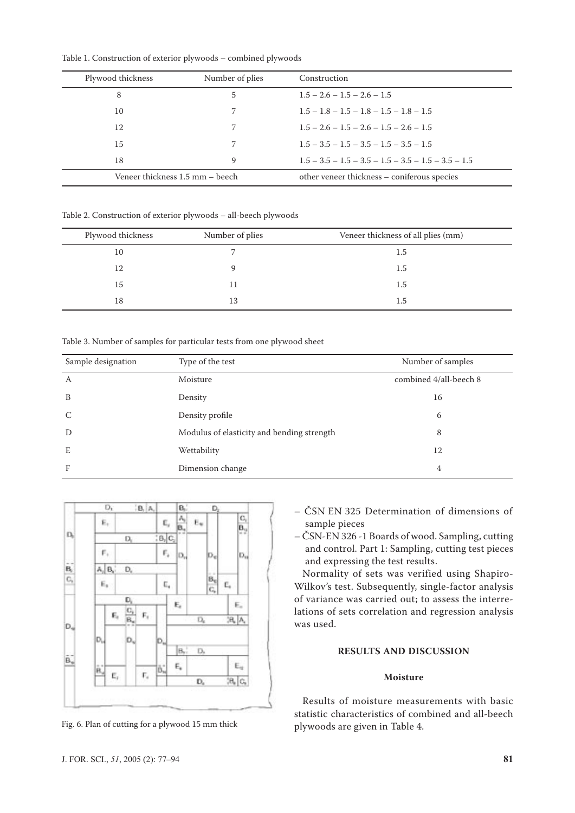| Table 1. Construction of exterior plywoods - combined plywoods |  |  |
|----------------------------------------------------------------|--|--|
|----------------------------------------------------------------|--|--|

| Plywood thickness               | Number of plies | Construction                                          |
|---------------------------------|-----------------|-------------------------------------------------------|
| 8                               | 5               | $1.5 - 2.6 - 1.5 - 2.6 - 1.5$                         |
| 10                              | 7               | $1.5 - 1.8 - 1.5 - 1.8 - 1.5 - 1.8 - 1.5$             |
| 12                              | 7               | $1.5 - 2.6 - 1.5 - 2.6 - 1.5 - 2.6 - 1.5$             |
| 15                              | 7               | $1.5 - 3.5 - 1.5 - 3.5 - 1.5 - 3.5 - 1.5$             |
| 18                              | 9               | $1.5 - 3.5 - 1.5 - 3.5 - 1.5 - 3.5 - 1.5 - 3.5 - 1.5$ |
| Veneer thickness 1.5 mm – beech |                 | other veneer thickness - coniferous species           |

Table 2. Construction of exterior plywoods – all-beech plywoods

| Plywood thickness | Number of plies | Veneer thickness of all plies (mm) |
|-------------------|-----------------|------------------------------------|
| 10                |                 | 1.5                                |
| 12                |                 | 1.5                                |
| 15                | 11              | 1.5                                |
| 18                | 13              | 1.5                                |

Table 3. Number of samples for particular tests from one plywood sheet

| Sample designation | Type of the test                           | Number of samples      |
|--------------------|--------------------------------------------|------------------------|
| A                  | Moisture                                   | combined 4/all-beech 8 |
| B                  | Density                                    | 16                     |
| $\mathsf{C}$       | Density profile                            | 6                      |
| D                  | Modulus of elasticity and bending strength | 8                      |
| E                  | Wettability                                | 12                     |
| F                  | Dimension change                           | 4                      |



Fig. 6. Plan of cutting for a plywood 15 mm thick

- ČSN EN 325 Determination of dimensions of sample pieces
- ČSN-EN 326 -1 Boards of wood. Sampling, cutting and control. Part 1: Sampling, cutting test pieces and expressing the test results.

Normality of sets was verified using Shapiro-Wilkov's test. Subsequently, single-factor analysis of variance was carried out; to assess the interrelations of sets correlation and regression analysis was used.

# **RESULTS AND DISCUSSION**

#### **Moisture**

Results of moisture measurements with basic statistic characteristics of combined and all-beech plywoods are given in Table 4.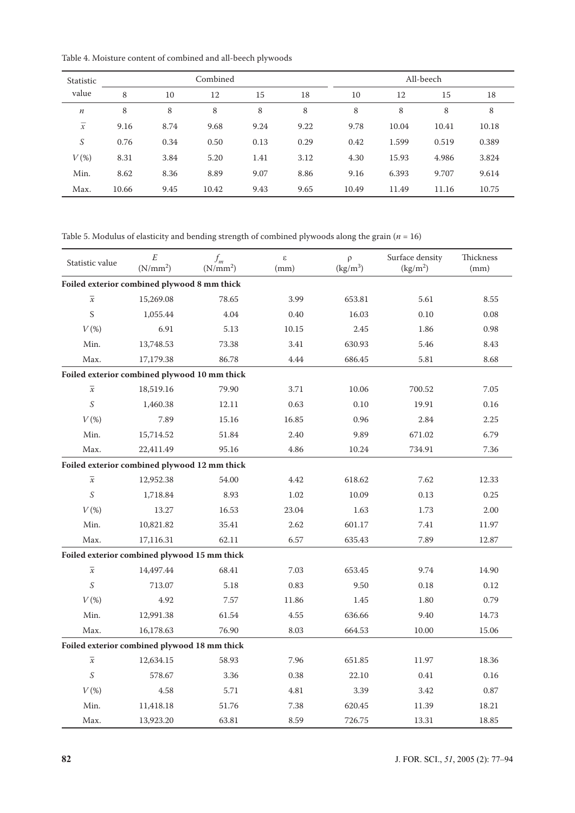Table 4. Moisture content of combined and all-beech plywoods

| Statistic        |       | Combined |       |      |      | All-beech |       |       |       |
|------------------|-------|----------|-------|------|------|-----------|-------|-------|-------|
| value            | 8     | 10       | 12    | 15   | 18   | 10        | 12    | 15    | 18    |
| $\boldsymbol{n}$ | 8     | 8        | 8     | 8    | 8    | 8         | 8     | 8     | 8     |
| $\overline{x}$   | 9.16  | 8.74     | 9.68  | 9.24 | 9.22 | 9.78      | 10.04 | 10.41 | 10.18 |
| S                | 0.76  | 0.34     | 0.50  | 0.13 | 0.29 | 0.42      | 1.599 | 0.519 | 0.389 |
| $V(\%)$          | 8.31  | 3.84     | 5.20  | 1.41 | 3.12 | 4.30      | 15.93 | 4.986 | 3.824 |
| Min.             | 8.62  | 8.36     | 8.89  | 9.07 | 8.86 | 9.16      | 6.393 | 9.707 | 9.614 |
| Max.             | 10.66 | 9.45     | 10.42 | 9.43 | 9.65 | 10.49     | 11.49 | 11.16 | 10.75 |

Table 5. Modulus of elasticity and bending strength of combined plywoods along the grain ( $n = 16$ )

| Statistic value                              | $\cal E$<br>(N/mm <sup>2</sup> ) | $f_m\,$<br>$(N/mm^2)$ | $\rm 3$<br>(mm) | $\rho$<br>$(kg/m^3)$ | Surface density<br>(kg/m <sup>2</sup> ) | Thickness<br>(mm) |  |  |  |
|----------------------------------------------|----------------------------------|-----------------------|-----------------|----------------------|-----------------------------------------|-------------------|--|--|--|
| Foiled exterior combined plywood 8 mm thick  |                                  |                       |                 |                      |                                         |                   |  |  |  |
| $\overline{\mathcal{X}}$                     | 15,269.08                        | 78.65                 | 3.99            | 653.81               | 5.61                                    | 8.55              |  |  |  |
| $\mathbf S$                                  | 1,055.44                         | 4.04                  | 0.40            | 16.03                | 0.10                                    | 0.08              |  |  |  |
| $V$ $(\%)$                                   | 6.91                             | 5.13                  | 10.15           | 2.45                 | 1.86                                    | 0.98              |  |  |  |
| Min.                                         | 13,748.53                        | 73.38                 | 3.41            | 630.93               | 5.46                                    | 8.43              |  |  |  |
| Max.                                         | 17,179.38                        | 86.78                 | 4.44            | 686.45               | 5.81                                    | 8.68              |  |  |  |
| Foiled exterior combined plywood 10 mm thick |                                  |                       |                 |                      |                                         |                   |  |  |  |
| $\overline{\mathcal{X}}$                     | 18,519.16                        | 79.90                 | 3.71            | 10.06                | 700.52                                  | 7.05              |  |  |  |
| $\mathcal{S}$                                | 1,460.38                         | 12.11                 | 0.63            | 0.10                 | 19.91                                   | 0.16              |  |  |  |
| $V$ $(\%)$                                   | 7.89                             | 15.16                 | 16.85           | 0.96                 | 2.84                                    | 2.25              |  |  |  |
| Min.                                         | 15,714.52                        | 51.84                 | 2.40            | 9.89                 | 671.02                                  | 6.79              |  |  |  |
| Max.                                         | 22,411.49                        | 95.16                 | 4.86            | 10.24                | 734.91                                  | 7.36              |  |  |  |
| Foiled exterior combined plywood 12 mm thick |                                  |                       |                 |                      |                                         |                   |  |  |  |
| $\overline{\mathcal{X}}$                     | 12,952.38                        | 54.00                 | 4.42            | 618.62               | 7.62                                    | 12.33             |  |  |  |
| $\mathcal{S}$                                | 1,718.84                         | 8.93                  | 1.02            | 10.09                | 0.13                                    | 0.25              |  |  |  |
| $V$ $(\%)$                                   | 13.27                            | 16.53                 | 23.04           | 1.63                 | 1.73                                    | 2.00              |  |  |  |
| Min.                                         | 10,821.82                        | 35.41                 | 2.62            | 601.17               | 7.41                                    | 11.97             |  |  |  |
| Max.                                         | 17,116.31                        | 62.11                 | 6.57            | 635.43               | 7.89                                    | 12.87             |  |  |  |
| Foiled exterior combined plywood 15 mm thick |                                  |                       |                 |                      |                                         |                   |  |  |  |
| $\overline{\mathcal{X}}$                     | 14,497.44                        | 68.41                 | 7.03            | 653.45               | 9.74                                    | 14.90             |  |  |  |
| $\mathcal{S}_{0}$                            | 713.07                           | 5.18                  | 0.83            | 9.50                 | 0.18                                    | 0.12              |  |  |  |
| $V$ (%)                                      | 4.92                             | 7.57                  | 11.86           | 1.45                 | 1.80                                    | 0.79              |  |  |  |
| Min.                                         | 12,991.38                        | 61.54                 | 4.55            | 636.66               | 9.40                                    | 14.73             |  |  |  |
| Max.                                         | 16,178.63                        | 76.90                 | 8.03            | 664.53               | 10.00                                   | 15.06             |  |  |  |
| Foiled exterior combined plywood 18 mm thick |                                  |                       |                 |                      |                                         |                   |  |  |  |
| $\overline{\mathcal{X}}$                     | 12,634.15                        | 58.93                 | 7.96            | 651.85               | 11.97                                   | 18.36             |  |  |  |
| $\mathcal{S}$                                | 578.67                           | 3.36                  | 0.38            | 22.10                | 0.41                                    | 0.16              |  |  |  |
| $V$ $(\%)$                                   | 4.58                             | 5.71                  | 4.81            | 3.39                 | 3.42                                    | 0.87              |  |  |  |
| Min.                                         | 11,418.18                        | 51.76                 | 7.38            | 620.45               | 11.39                                   | 18.21             |  |  |  |
| Max.                                         | 13,923.20                        | 63.81                 | 8.59            | 726.75               | 13.31                                   | 18.85             |  |  |  |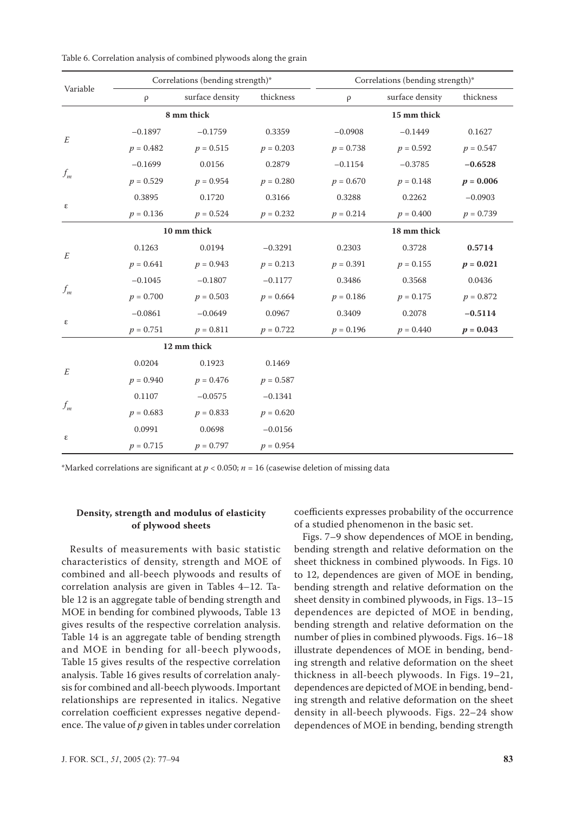| Variable                   | Correlations (bending strength)* |                 |             | Correlations (bending strength)* |                 |             |  |
|----------------------------|----------------------------------|-----------------|-------------|----------------------------------|-----------------|-------------|--|
|                            | ρ                                | surface density | thickness   | $\rho$                           | surface density | thickness   |  |
|                            |                                  | 8 mm thick      |             |                                  | 15 mm thick     |             |  |
| $\cal E$                   | $-0.1897$                        | $-0.1759$       | 0.3359      | $-0.0908$                        | $-0.1449$       | 0.1627      |  |
|                            | $p = 0.482$                      | $p = 0.515$     | $p = 0.203$ | $p = 0.738$                      | $p = 0.592$     | $p = 0.547$ |  |
|                            | $-0.1699$                        | 0.0156          | 0.2879      | $-0.1154$                        | $-0.3785$       | $-0.6528$   |  |
| $f_m$                      | $p = 0.529$                      | $p = 0.954$     | $p = 0.280$ | $p = 0.670$                      | $p = 0.148$     | $p = 0.006$ |  |
|                            | 0.3895                           | 0.1720          | 0.3166      | 0.3288                           | 0.2262          | $-0.0903$   |  |
| $\boldsymbol{\varepsilon}$ | $p = 0.136$                      | $p = 0.524$     | $p = 0.232$ | $p = 0.214$                      | $p = 0.400$     | $p = 0.739$ |  |
|                            |                                  | 10 mm thick     |             |                                  | 18 mm thick     |             |  |
|                            | 0.1263                           | 0.0194          | $-0.3291$   | 0.2303                           | 0.3728          | 0.5714      |  |
| $\cal E$                   | $p = 0.641$                      | $p = 0.943$     | $p = 0.213$ | $p = 0.391$                      | $p = 0.155$     | $p = 0.021$ |  |
|                            | $-0.1045$                        | $-0.1807$       | $-0.1177$   | 0.3486                           | 0.3568          | 0.0436      |  |
| $f_m$                      | $p = 0.700$                      | $p = 0.503$     | $p = 0.664$ | $p = 0.186$                      | $p = 0.175$     | $p = 0.872$ |  |
|                            | $-0.0861$                        | $-0.0649$       | 0.0967      | 0.3409                           | 0.2078          | $-0.5114$   |  |
| $\boldsymbol{\varepsilon}$ | $p = 0.751$                      | $p = 0.811$     | $p = 0.722$ | $p = 0.196$                      | $p = 0.440$     | $p = 0.043$ |  |
|                            |                                  | 12 mm thick     |             |                                  |                 |             |  |
|                            | 0.0204                           | 0.1923          | 0.1469      |                                  |                 |             |  |
| $\cal E$                   | $p = 0.940$                      | $p = 0.476$     | $p = 0.587$ |                                  |                 |             |  |
|                            | 0.1107                           | $-0.0575$       | $-0.1341$   |                                  |                 |             |  |
| $f_m$                      | $p = 0.683$                      | $p = 0.833$     | $p = 0.620$ |                                  |                 |             |  |
|                            | 0.0991                           | 0.0698          | $-0.0156$   |                                  |                 |             |  |
| ε                          | $p = 0.715$                      | $p = 0.797$     | $p = 0.954$ |                                  |                 |             |  |

Table 6. Correlation analysis of combined plywoods along the grain

\*Marked correlations are significant at  $p < 0.050$ ;  $n = 16$  (casewise deletion of missing data

# **Density, strength and modulus of elasticity of plywood sheets**

Results of measurements with basic statistic characteristics of density, strength and MOE of combined and all-beech plywoods and results of correlation analysis are given in Tables 4–12. Table 12 is an aggregate table of bending strength and MOE in bending for combined plywoods, Table 13 gives results of the respective correlation analysis. Table 14 is an aggregate table of bending strength and MOE in bending for all-beech plywoods, Table 15 gives results of the respective correlation analysis. Table 16 gives results of correlation analysis for combined and all-beech plywoods. Important relationships are represented in italics. Negative correlation coefficient expresses negative dependence. The value of *p* given in tables under correlation

coefficients expresses probability of the occurrence of a studied phenomenon in the basic set.

Figs. 7–9 show dependences of MOE in bending, bending strength and relative deformation on the sheet thickness in combined plywoods. In Figs. 10 to 12, dependences are given of MOE in bending, bending strength and relative deformation on the sheet density in combined plywoods, in Figs. 13–15 dependences are depicted of MOE in bending, bending strength and relative deformation on the number of plies in combined plywoods. Figs. 16–18 illustrate dependences of MOE in bending, bending strength and relative deformation on the sheet thickness in all-beech plywoods. In Figs. 19–21, dependences are depicted of MOE in bending, bending strength and relative deformation on the sheet density in all-beech plywoods. Figs. 22–24 show dependences of MOE in bending, bending strength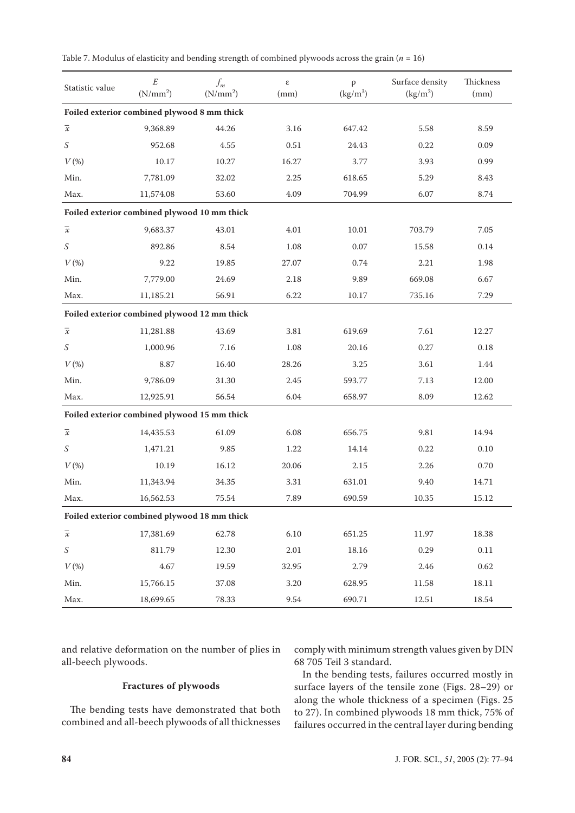| Statistic value                              | $\cal E$<br>(N/mm <sup>2</sup> ) | $f_m$<br>$(N/mm^2)$ | $\boldsymbol{\varepsilon}$<br>(mm) | $\rho$<br>$(kg/m^3)$ | Surface density<br>(kg/m <sup>2</sup> ) | Thickness<br>(mm) |  |  |
|----------------------------------------------|----------------------------------|---------------------|------------------------------------|----------------------|-----------------------------------------|-------------------|--|--|
| Foiled exterior combined plywood 8 mm thick  |                                  |                     |                                    |                      |                                         |                   |  |  |
| $\overline{\mathcal{X}}$                     | 9,368.89                         | 44.26               | 3.16                               | 647.42               | 5.58                                    | 8.59              |  |  |
| $\boldsymbol{S}$                             | 952.68                           | 4.55                | 0.51                               | 24.43                | 0.22                                    | 0.09              |  |  |
| $V(\%)$                                      | 10.17                            | 10.27               | 16.27                              | 3.77                 | 3.93                                    | 0.99              |  |  |
| Min.                                         | 7,781.09                         | 32.02               | 2.25                               | 618.65               | 5.29                                    | 8.43              |  |  |
| Max.                                         | 11,574.08                        | 53.60               | 4.09                               | 704.99               | 6.07                                    | 8.74              |  |  |
| Foiled exterior combined plywood 10 mm thick |                                  |                     |                                    |                      |                                         |                   |  |  |
| $\overline{\mathcal{X}}$                     | 9,683.37                         | 43.01               | 4.01                               | 10.01                | 703.79                                  | 7.05              |  |  |
| $\boldsymbol{S}$                             | 892.86                           | 8.54                | 1.08                               | 0.07                 | 15.58                                   | 0.14              |  |  |
| $V(\%)$                                      | 9.22                             | 19.85               | 27.07                              | 0.74                 | 2.21                                    | 1.98              |  |  |
| Min.                                         | 7,779.00                         | 24.69               | 2.18                               | 9.89                 | 669.08                                  | 6.67              |  |  |
| Max.                                         | 11,185.21                        | 56.91               | 6.22                               | 10.17                | 735.16                                  | 7.29              |  |  |
| Foiled exterior combined plywood 12 mm thick |                                  |                     |                                    |                      |                                         |                   |  |  |
| $\overline{\mathcal{X}}$                     | 11,281.88                        | 43.69               | 3.81                               | 619.69               | 7.61                                    | 12.27             |  |  |
| S                                            | 1,000.96                         | 7.16                | 1.08                               | 20.16                | 0.27                                    | 0.18              |  |  |
| $V(\%)$                                      | 8.87                             | 16.40               | 28.26                              | 3.25                 | 3.61                                    | 1.44              |  |  |
| Min.                                         | 9,786.09                         | 31.30               | 2.45                               | 593.77               | 7.13                                    | 12.00             |  |  |
| Max.                                         | 12,925.91                        | 56.54               | 6.04                               | 658.97               | 8.09                                    | 12.62             |  |  |
| Foiled exterior combined plywood 15 mm thick |                                  |                     |                                    |                      |                                         |                   |  |  |
| $\overline{\mathcal{X}}$                     | 14,435.53                        | 61.09               | 6.08                               | 656.75               | 9.81                                    | 14.94             |  |  |
| S                                            | 1,471.21                         | 9.85                | 1.22                               | 14.14                | 0.22                                    | 0.10              |  |  |
| $V(\%)$                                      | 10.19                            | 16.12               | 20.06                              | 2.15                 | 2.26                                    | 0.70              |  |  |
| Min.                                         | 11,343.94                        | 34.35               | 3.31                               | 631.01               | 9.40                                    | 14.71             |  |  |
| Max.                                         | 16,562.53                        | 75.54               | 7.89                               | 690.59               | 10.35                                   | 15.12             |  |  |
| Foiled exterior combined plywood 18 mm thick |                                  |                     |                                    |                      |                                         |                   |  |  |
| $\overline{\mathcal{X}}$                     | 17,381.69                        | 62.78               | 6.10                               | 651.25               | 11.97                                   | 18.38             |  |  |
| $\boldsymbol{S}$                             | 811.79                           | 12.30               | $2.01\,$                           | 18.16                | 0.29                                    | 0.11              |  |  |
| $V$ $(\%)$                                   | 4.67                             | 19.59               | 32.95                              | 2.79                 | 2.46                                    | 0.62              |  |  |
| Min.                                         | 15,766.15                        | 37.08               | 3.20                               | 628.95               | $11.58\,$                               | $18.11\,$         |  |  |
| Max.                                         | 18,699.65                        | 78.33               | 9.54                               | 690.71               | 12.51                                   | 18.54             |  |  |

| Table 7. Modulus of elasticity and bending strength of combined plywoods across the grain ( $n = 16$ ) |  |
|--------------------------------------------------------------------------------------------------------|--|
|--------------------------------------------------------------------------------------------------------|--|

and relative deformation on the number of plies in all-beech plywoods.

# **Fractures of plywoods**

The bending tests have demonstrated that both combined and all-beech plywoods of all thicknesses comply with minimum strength values given by DIN 68 705 Teil 3 standard.

In the bending tests, failures occurred mostly in surface layers of the tensile zone (Figs. 28–29) or along the whole thickness of a specimen (Figs. 25 to 27). In combined plywoods 18 mm thick, 75% of failures occurred in the central layer during bending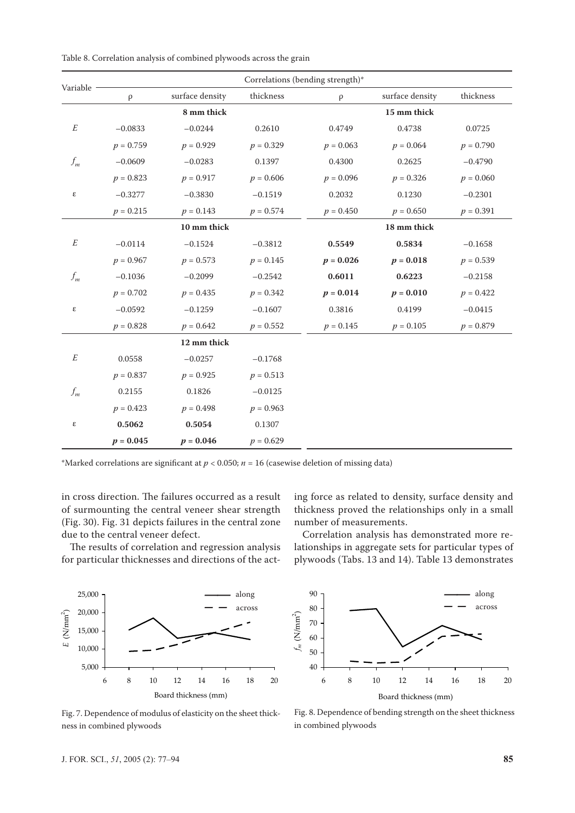| Variable - | Correlations (bending strength)* |                 |             |             |                 |             |  |  |
|------------|----------------------------------|-----------------|-------------|-------------|-----------------|-------------|--|--|
|            | $\rho$                           | surface density | thickness   | $\rho$      | surface density | thickness   |  |  |
|            |                                  | 8 mm thick      |             |             | 15 mm thick     |             |  |  |
| $\cal E$   | $-0.0833$                        | $-0.0244$       | 0.2610      | 0.4749      | 0.4738          | 0.0725      |  |  |
|            | $p = 0.759$                      | $p = 0.929$     | $p=0.329\,$ | $p = 0.063$ | $p = 0.064$     | $p = 0.790$ |  |  |
| $f_m$      | $-0.0609$                        | $-0.0283$       | 0.1397      | 0.4300      | 0.2625          | $-0.4790$   |  |  |
|            | $p = 0.823$                      | $p = 0.917$     | $p = 0.606$ | $p = 0.096$ | $p = 0.326$     | $p = 0.060$ |  |  |
| ε          | $-0.3277$                        | $-0.3830$       | $-0.1519$   | 0.2032      | 0.1230          | $-0.2301$   |  |  |
|            | $p = 0.215$                      | $p = 0.143$     | $p = 0.574$ | $p = 0.450$ | $p = 0.650$     | $p = 0.391$ |  |  |
|            | 10 mm thick                      |                 |             |             | 18 mm thick     |             |  |  |
| $\cal E$   | $-0.0114$                        | $-0.1524$       | $-0.3812$   | 0.5549      | 0.5834          | $-0.1658$   |  |  |
|            | $p = 0.967$                      | $p = 0.573$     | $p = 0.145$ | $p = 0.026$ | $p = 0.018$     | $p = 0.539$ |  |  |
| $f_m$      | $-0.1036$                        | $-0.2099$       | $-0.2542$   | 0.6011      | 0.6223          | $-0.2158$   |  |  |
|            | $p = 0.702$                      | $p = 0.435$     | $p = 0.342$ | $p = 0.014$ | $p = 0.010$     | $p = 0.422$ |  |  |
| ε          | $-0.0592$                        | $-0.1259$       | $-0.1607$   | 0.3816      | 0.4199          | $-0.0415$   |  |  |
|            | $p = 0.828$                      | $p = 0.642$     | $p = 0.552$ | $p = 0.145$ | $p = 0.105$     | $p = 0.879$ |  |  |
|            |                                  | 12 mm thick     |             |             |                 |             |  |  |
| E          | 0.0558                           | $-0.0257$       | $-0.1768$   |             |                 |             |  |  |
|            | $p = 0.837$                      | $p = 0.925$     | $p = 0.513$ |             |                 |             |  |  |
| $f_m$      | 0.2155                           | 0.1826          | $-0.0125$   |             |                 |             |  |  |
|            | $p = 0.423$                      | $p = 0.498$     | $p = 0.963$ |             |                 |             |  |  |
| ε          | 0.5062                           | 0.5054          | 0.1307      |             |                 |             |  |  |
|            | $p = 0.045$                      | $p = 0.046$     | $p = 0.629$ |             |                 |             |  |  |

Table 8. Correlation analysis of combined plywoods across the grain

\*Marked correlations are significant at  $p < 0.050$ ;  $n = 16$  (casewise deletion of missing data)

in cross direction. The failures occurred as a result of surmounting the central veneer shear strength (Fig. 30). Fig. 31 depicts failures in the central zone due to the central veneer defect.

number of measurements.

The results of correlation and regression analysis for particular thicknesses and directions of the act-

Correlation analysis has demonstrated more relationships in aggregate sets for particular types of plywoods (Tabs. 13 and 14). Table 13 demonstrates

ing force as related to density, surface density and thickness proved the relationships only in a small



Fig. 7. Dependence of modulus of elasticity on the sheet thickness in combined plywoods



Fig. 8. Dependence of bending strength on the sheet thickness in combined plywoods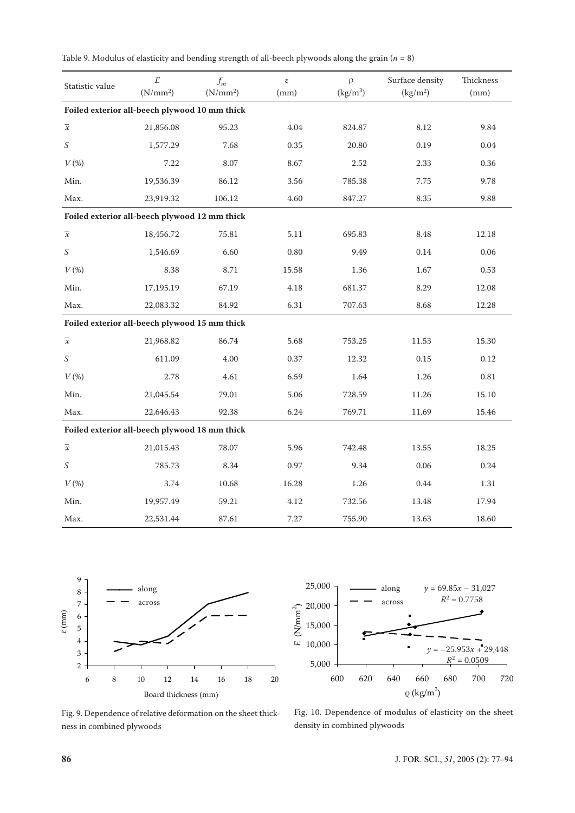| Statistic value                               | $\overline{E}$<br>(N/mm <sup>2</sup> )        | $f_m$<br>(N/mm <sup>2</sup> ) | $\boldsymbol{\epsilon}$<br>(mm) | $\rho$<br>(kg/m <sup>3</sup> ) | Surface density<br>(kg/m <sup>2</sup> ) | Thickness<br>(mm) |  |  |  |
|-----------------------------------------------|-----------------------------------------------|-------------------------------|---------------------------------|--------------------------------|-----------------------------------------|-------------------|--|--|--|
| Foiled exterior all-beech plywood 10 mm thick |                                               |                               |                                 |                                |                                         |                   |  |  |  |
| $\overline{\mathcal{X}}$                      | 21,856.08                                     | 95.23                         | 4.04                            | 824.87                         | 8.12                                    | 9.84              |  |  |  |
| $\boldsymbol{S}$                              | 1,577.29                                      | 7.68                          | 0.35                            | 20.80                          | 0.19                                    | 0.04              |  |  |  |
| $V(\%)$                                       | 7.22                                          | 8.07                          | 8.67                            | 2.52                           | 2.33                                    | 0.36              |  |  |  |
| Min.                                          | 19,536.39                                     | 86.12                         | 3.56                            | 785.38                         | 7.75                                    | 9.78              |  |  |  |
| Max.                                          | 23,919.32                                     | 106.12                        | 4.60                            | 847.27                         | 8.35                                    | 9.88              |  |  |  |
| Foiled exterior all-beech plywood 12 mm thick |                                               |                               |                                 |                                |                                         |                   |  |  |  |
| $\overline{\mathcal{X}}$                      | 18,456.72                                     | 75.81                         | 5.11                            | 695.83                         | 8.48                                    | 12.18             |  |  |  |
| $\boldsymbol{S}$                              | 1,546.69                                      | 6.60                          | 0.80                            | 9.49                           | 0.14                                    | 0.06              |  |  |  |
| $V$ $(\%)$                                    | 8.38                                          | 8.71                          | 15.58                           | 1.36                           | 1.67                                    | 0.53              |  |  |  |
| Min.                                          | 17,195.19                                     | 67.19                         | 4.18                            | 681.37                         | 8.29                                    | 12.08             |  |  |  |
| Max.                                          | 22,083.32                                     | 84.92                         | 6.31                            | 707.63                         | 8.68                                    | 12.28             |  |  |  |
| Foiled exterior all-beech plywood 15 mm thick |                                               |                               |                                 |                                |                                         |                   |  |  |  |
| $\overline{\mathcal{X}}$                      | 21,968.82                                     | 86.74                         | 5.68                            | 753.25                         | 11.53                                   | 15.30             |  |  |  |
| $\boldsymbol{S}$                              | 611.09                                        | 4.00                          | 0.37                            | 12.32                          | 0.15                                    | 0.12              |  |  |  |
| $V$ $(\%)$                                    | 2.78                                          | 4.61                          | 6.59                            | 1.64                           | 1.26                                    | $0.81\,$          |  |  |  |
| Min.                                          | 21,045.54                                     | 79.01                         | 5.06                            | 728.59                         | 11.26                                   | 15.10             |  |  |  |
| Max.                                          | 22,646.43                                     | 92.38                         | 6.24                            | 769.71                         | 11.69                                   | 15.46             |  |  |  |
|                                               | Foiled exterior all-beech plywood 18 mm thick |                               |                                 |                                |                                         |                   |  |  |  |
| $\overline{\mathcal{X}}$                      | 21,015.43                                     | 78.07                         | 5.96                            | 742.48                         | 13.55                                   | 18.25             |  |  |  |
| $\boldsymbol{S}$                              | 785.73                                        | 8.34                          | 0.97                            | 9.34                           | 0.06                                    | 0.24              |  |  |  |
| $V$ $(\%)$                                    | 3.74                                          | 10.68                         | 16.28                           | 1.26                           | 0.44                                    | 1.31              |  |  |  |
| Min.                                          | 19,957.49                                     | 59.21                         | 4.12                            | 732.56                         | 13.48                                   | 17.94             |  |  |  |
| Max.                                          | 22,531.44                                     | 87.61                         | 7.27                            | 755.90                         | 13.63                                   | 18.60             |  |  |  |

Table 9. Modulus of elasticity and bending strength of all-beech plywoods along the grain (*n* = 8)





Fig. 9. Dependence of relative deformation on the sheet thickness in combined plywoods

Fig. 10. Dependence of modulus of elasticity on the sheet density in combined plywoods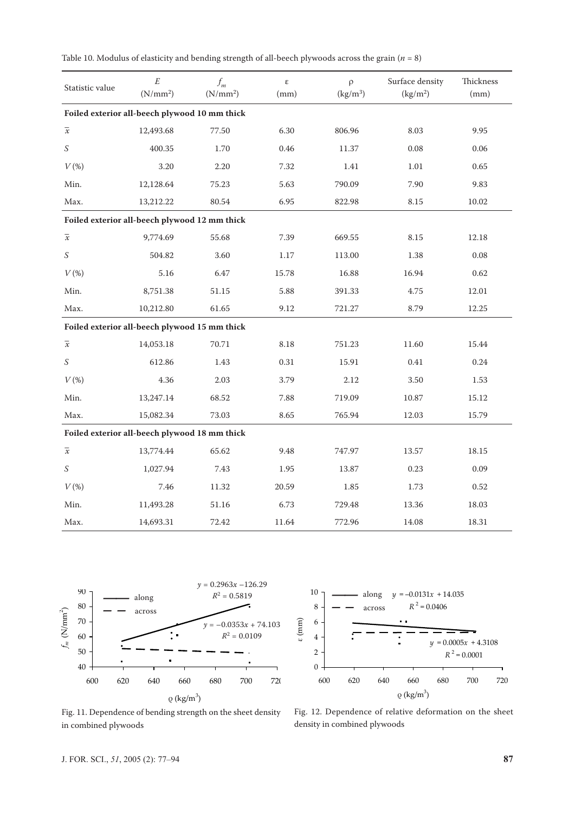| Statistic value                               | $\cal E$<br>$(N/mm^2)$ | $f_m$<br>(N/mm <sup>2</sup> ) | $\boldsymbol{\epsilon}$<br>(mm) | $\rho$<br>$(kg/m^3)$ | Surface density<br>(kg/m <sup>2</sup> ) | Thickness<br>(mm) |  |  |  |
|-----------------------------------------------|------------------------|-------------------------------|---------------------------------|----------------------|-----------------------------------------|-------------------|--|--|--|
| Foiled exterior all-beech plywood 10 mm thick |                        |                               |                                 |                      |                                         |                   |  |  |  |
| $\overline{\mathcal{X}}$                      | 12,493.68              | 77.50                         | 6.30                            | 806.96               | 8.03                                    | 9.95              |  |  |  |
| $\boldsymbol{S}$                              | 400.35                 | 1.70                          | 0.46                            | 11.37                | 0.08                                    | 0.06              |  |  |  |
| $V$ $(\%)$                                    | 3.20                   | 2.20                          | 7.32                            | 1.41                 | 1.01                                    | 0.65              |  |  |  |
| Min.                                          | 12,128.64              | 75.23                         | 5.63                            | 790.09               | 7.90                                    | 9.83              |  |  |  |
| Max.                                          | 13,212.22              | 80.54                         | 6.95                            | 822.98               | 8.15                                    | 10.02             |  |  |  |
| Foiled exterior all-beech plywood 12 mm thick |                        |                               |                                 |                      |                                         |                   |  |  |  |
| $\overline{\mathcal{X}}$                      | 9,774.69               | 55.68                         | 7.39                            | 669.55               | 8.15                                    | 12.18             |  |  |  |
| $\cal S$                                      | 504.82                 | 3.60                          | 1.17                            | 113.00               | 1.38                                    | 0.08              |  |  |  |
| $V$ (%)                                       | 5.16                   | 6.47                          | 15.78                           | 16.88                | 16.94                                   | 0.62              |  |  |  |
| Min.                                          | 8,751.38               | 51.15                         | 5.88                            | 391.33               | 4.75                                    | 12.01             |  |  |  |
| Max.                                          | 10,212.80              | 61.65                         | 9.12                            | 721.27               | 8.79                                    | 12.25             |  |  |  |
| Foiled exterior all-beech plywood 15 mm thick |                        |                               |                                 |                      |                                         |                   |  |  |  |
| $\overline{\mathcal{X}}$                      | 14,053.18              | 70.71                         | 8.18                            | 751.23               | 11.60                                   | 15.44             |  |  |  |
| S                                             | 612.86                 | 1.43                          | 0.31                            | 15.91                | 0.41                                    | 0.24              |  |  |  |
| $V$ $(\%)$                                    | 4.36                   | 2.03                          | 3.79                            | 2.12                 | 3.50                                    | 1.53              |  |  |  |
| Min.                                          | 13,247.14              | 68.52                         | 7.88                            | 719.09               | 10.87                                   | 15.12             |  |  |  |
| Max.                                          | 15,082.34              | 73.03                         | 8.65                            | 765.94               | 12.03                                   | 15.79             |  |  |  |
| Foiled exterior all-beech plywood 18 mm thick |                        |                               |                                 |                      |                                         |                   |  |  |  |
| $\overline{\mathcal{X}}$                      | 13,774.44              | 65.62                         | 9.48                            | 747.97               | 13.57                                   | 18.15             |  |  |  |
| S                                             | 1,027.94               | 7.43                          | 1.95                            | 13.87                | 0.23                                    | 0.09              |  |  |  |
| $V$ $(\%)$                                    | 7.46                   | 11.32                         | 20.59                           | 1.85                 | 1.73                                    | 0.52              |  |  |  |
| Min.                                          | 11,493.28              | 51.16                         | 6.73                            | 729.48               | 13.36                                   | 18.03             |  |  |  |
| Max.                                          | 14,693.31              | 72.42                         | 11.64                           | 772.96               | 14.08                                   | 18.31             |  |  |  |





Fig. 11. Dependence of bending strength on the sheet density in combined plywoods

Fig. 12. Dependence of relative deformation on the sheet density in combined plywoods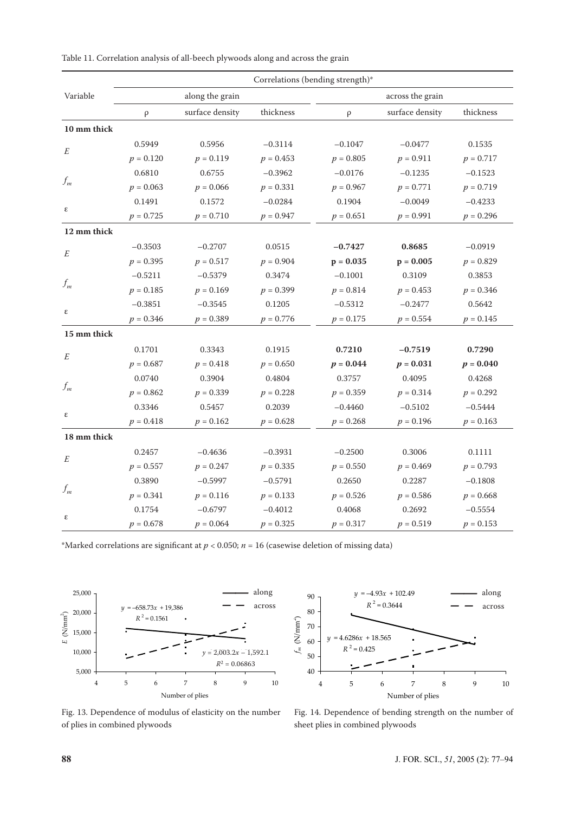|             | Correlations (bending strength)* |                 |             |             |                  |             |  |  |
|-------------|----------------------------------|-----------------|-------------|-------------|------------------|-------------|--|--|
| Variable    |                                  | along the grain |             |             | across the grain |             |  |  |
|             | $\rho$                           | surface density | thickness   | $\rho$      | surface density  | thickness   |  |  |
| 10 mm thick |                                  |                 |             |             |                  |             |  |  |
| E           | 0.5949                           | 0.5956          | $-0.3114$   | $-0.1047$   | $-0.0477$        | 0.1535      |  |  |
|             | $p = 0.120$                      | $p = 0.119$     | $p = 0.453$ | $p = 0.805$ | $p = 0.911$      | $p = 0.717$ |  |  |
|             | 0.6810                           | 0.6755          | $-0.3962$   | $-0.0176$   | $-0.1235$        | $-0.1523$   |  |  |
| $f_m$       | $p = 0.063$                      | $p = 0.066$     | $p = 0.331$ | $p = 0.967$ | $p = 0.771$      | $p = 0.719$ |  |  |
|             | 0.1491                           | 0.1572          | $-0.0284$   | 0.1904      | $-0.0049$        | $-0.4233$   |  |  |
| ε           | $p = 0.725$                      | $p = 0.710$     | $p = 0.947$ | $p = 0.651$ | $p = 0.991$      | $p = 0.296$ |  |  |
| 12 mm thick |                                  |                 |             |             |                  |             |  |  |
| E           | $-0.3503$                        | $-0.2707$       | 0.0515      | $-0.7427$   | 0.8685           | $-0.0919$   |  |  |
|             | $p = 0.395$                      | $p = 0.517$     | $p = 0.904$ | $p = 0.035$ | $p = 0.005$      | $p = 0.829$ |  |  |
| $f_m$       | $-0.5211$                        | $-0.5379$       | 0.3474      | $-0.1001$   | 0.3109           | 0.3853      |  |  |
|             | $p = 0.185$                      | $p = 0.169$     | $p = 0.399$ | $p = 0.814$ | $p = 0.453$      | $p = 0.346$ |  |  |
|             | $-0.3851$                        | $-0.3545$       | 0.1205      | $-0.5312$   | $-0.2477$        | 0.5642      |  |  |
| ε           | $p = 0.346$                      | $p = 0.389$     | $p = 0.776$ | $p = 0.175$ | $p = 0.554$      | $p = 0.145$ |  |  |
| 15 mm thick |                                  |                 |             |             |                  |             |  |  |
|             | 0.1701                           | 0.3343          | 0.1915      | 0.7210      | $-0.7519$        | 0.7290      |  |  |
| E           | $p = 0.687$                      | $p = 0.418$     | $p = 0.650$ | $p = 0.044$ | $p = 0.031$      | $p = 0.040$ |  |  |
|             | 0.0740                           | 0.3904          | 0.4804      | 0.3757      | 0.4095           | 0.4268      |  |  |
| $f_m$       | $p = 0.862$                      | $p = 0.339$     | $p = 0.228$ | $p = 0.359$ | $p = 0.314$      | $p = 0.292$ |  |  |
|             | 0.3346                           | 0.5457          | 0.2039      | $-0.4460$   | $-0.5102$        | $-0.5444$   |  |  |
| ε           | $p = 0.418$                      | $p = 0.162$     | $p = 0.628$ | $p = 0.268$ | $p = 0.196$      | $p = 0.163$ |  |  |
| 18 mm thick |                                  |                 |             |             |                  |             |  |  |
|             | 0.2457                           | $-0.4636$       | $-0.3931$   | $-0.2500$   | 0.3006           | 0.1111      |  |  |
| E           | $p = 0.557$                      | $p = 0.247$     | $p = 0.335$ | $p = 0.550$ | $p = 0.469$      | $p = 0.793$ |  |  |
|             | 0.3890                           | $-0.5997$       | $-0.5791$   | 0.2650      | 0.2287           | $-0.1808$   |  |  |
| $f_m$       | $p = 0.341$                      | $p = 0.116$     | $p = 0.133$ | $p = 0.526$ | $p = 0.586$      | $p = 0.668$ |  |  |
|             | 0.1754                           | $-0.6797$       | $-0.4012$   | 0.4068      | 0.2692           | $-0.5554$   |  |  |
| ε           | $p = 0.678$                      | $p = 0.064$     | $p = 0.325$ | $p = 0.317$ | $p = 0.519$      | $p = 0.153$ |  |  |

| Table 11. Correlation analysis of all-beech plywoods along and across the grain |  |
|---------------------------------------------------------------------------------|--|
|---------------------------------------------------------------------------------|--|

\*Marked correlations are significant at  $p < 0.050$ ;  $n = 16$  (casewise deletion of missing data)





Fig. 13. Dependence of modulus of elasticity on the number of plies in combined plywoods

Fig. 14. Dependence of bending strength on the number of sheet plies in combined plywoods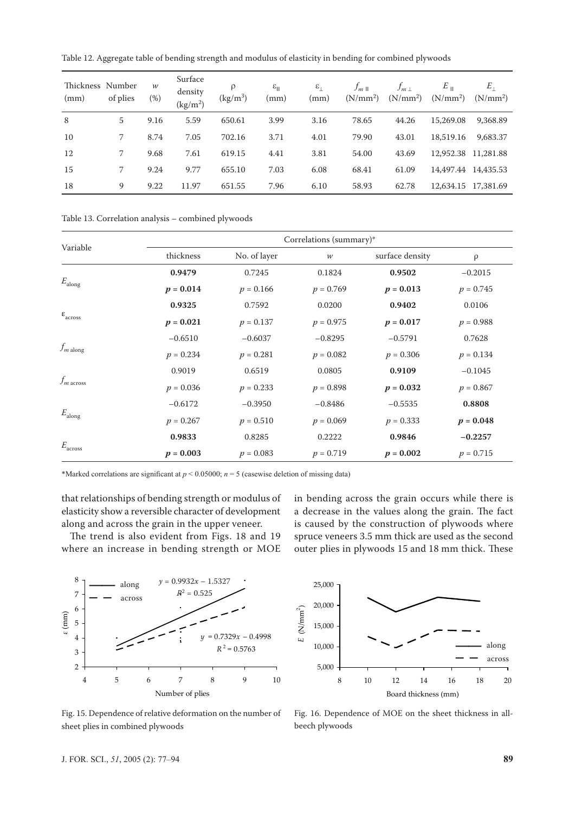Table 12. Aggregate table of bending strength and modulus of elasticity in bending for combined plywoods

| Thickness<br>(mm) | Number<br>of plies | W<br>$(\%)$ | Surface<br>density<br>(kg/m <sup>2</sup> ) | ρ<br>$\text{kg/m}^3$ | $\varepsilon_{\parallel}$<br>(mm) | $\varepsilon_{\perp}$<br>(mm) | $f_{m}$   <br>$(N/mm^2)$ | $J_{m+}$<br>$(N/mm^2)$ | $E_{\parallel}$<br>$(N/mm^2)$ | $E_{\perp}$<br>$(N/mm^2)$ |
|-------------------|--------------------|-------------|--------------------------------------------|----------------------|-----------------------------------|-------------------------------|--------------------------|------------------------|-------------------------------|---------------------------|
| 8                 | 5                  | 9.16        | 5.59                                       | 650.61               | 3.99                              | 3.16                          | 78.65                    | 44.26                  | 15,269.08                     | 9,368.89                  |
| 10                | 7                  | 8.74        | 7.05                                       | 702.16               | 3.71                              | 4.01                          | 79.90                    | 43.01                  | 18,519.16                     | 9,683.37                  |
| 12                |                    | 9.68        | 7.61                                       | 619.15               | 4.41                              | 3.81                          | 54.00                    | 43.69                  |                               | 12,952.38 11,281.88       |
| 15                | 7                  | 9.24        | 9.77                                       | 655.10               | 7.03                              | 6.08                          | 68.41                    | 61.09                  |                               | 14,497.44 14,435.53       |
| 18                | 9                  | 9.22        | 11.97                                      | 651.55               | 7.96                              | 6.10                          | 58.93                    | 62.78                  |                               | 12,634.15 17,381.69       |

|                                           | Correlations (summary)* |              |             |                 |             |  |  |  |
|-------------------------------------------|-------------------------|--------------|-------------|-----------------|-------------|--|--|--|
| Variable                                  | thickness               | No. of layer | W           | surface density | $\rho$      |  |  |  |
|                                           | 0.9479                  | 0.7245       | 0.1824      | 0.9502          | $-0.2015$   |  |  |  |
| $E_{\text{along}}$                        | $p = 0.014$             | $p = 0.166$  | $p = 0.769$ | $p = 0.013$     | $p = 0.745$ |  |  |  |
|                                           | 0.9325                  | 0.7592       | 0.0200      | 0.9402          | 0.0106      |  |  |  |
| $\boldsymbol{\epsilon}_{\text{across}}$   | $p = 0.021$             | $p = 0.137$  | $p = 0.975$ | $p = 0.017$     | $p = 0.988$ |  |  |  |
|                                           | $-0.6510$               | $-0.6037$    | $-0.8295$   | $-0.5791$       | 0.7628      |  |  |  |
| $f_{m \text{ along}}$                     | $p = 0.234$             | $p = 0.281$  | $p = 0.082$ | $p = 0.306$     | $p = 0.134$ |  |  |  |
|                                           | 0.9019                  | 0.6519       | 0.0805      | 0.9109          | $-0.1045$   |  |  |  |
| $f^{\phantom{\dagger}}_{m\,{\rm across}}$ | $p = 0.036$             | $p = 0.233$  | $p = 0.898$ | $p = 0.032$     | $p = 0.867$ |  |  |  |
|                                           | $-0.6172$               | $-0.3950$    | $-0.8486$   | $-0.5535$       | 0.8808      |  |  |  |
| $E_{\text{along}}$                        | $p = 0.267$             | $p = 0.510$  | $p = 0.069$ | $p = 0.333$     | $p = 0.048$ |  |  |  |
|                                           | 0.9833                  | 0.8285       | 0.2222      | 0.9846          | $-0.2257$   |  |  |  |
| $E_{\text{across}}$                       | $p = 0.003$             | $p = 0.083$  | $p = 0.719$ | $p = 0.002$     | $p = 0.715$ |  |  |  |

Table 13. Correlation analysis – combined plywoods

\*Marked correlations are significant at  $p < 0.05000$ ;  $n = 5$  (casewise deletion of missing data)

that relationships of bending strength or modulus of elasticity show a reversible character of development along and across the grain in the upper veneer.

The trend is also evident from Figs. 18 and 19 where an increase in bending strength or MOE in bending across the grain occurs while there is a decrease in the values along the grain. The fact is caused by the construction of plywoods where spruce veneers 3.5 mm thick are used as the second outer plies in plywoods 15 and 18 mm thick. These





Fig. 15. Dependence of relative deformation on the number of sheet plies in combined plywoods

Fig. 16. Dependence of MOE on the sheet thickness in allbeech plywoods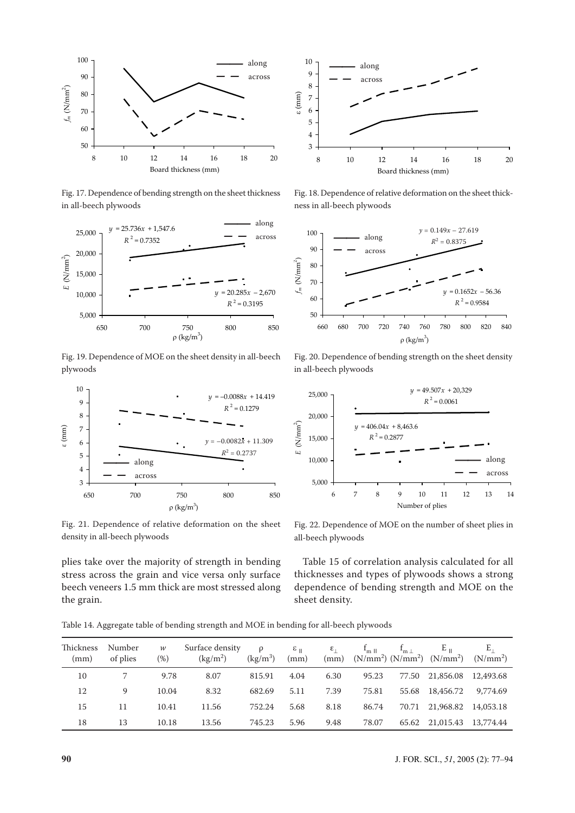

Fig. 17. Dependence of bending strength on the sheet thickness in all-beech plywoods



Fig. 19. Dependence of MOE on the sheet density in all-beech plywoods



Fig. 21. Dependence of relative deformation on the sheet density in all-beech plywoods

plies take over the majority of strength in bending stress across the grain and vice versa only surface beech veneers 1.5 mm thick are most stressed along the grain.



Fig. 18. Dependence of relative deformation on the sheet thickness in all-beech plywoods



Fig. 20. Dependence of bending strength on the sheet density in all-beech plywoods



Fig. 22. Dependence of MOE on the number of sheet plies in all-beech plywoods

Table 15 of correlation analysis calculated for all thicknesses and types of plywoods shows a strong dependence of bending strength and MOE on the sheet density.

Table 14. Aggregate table of bending strength and MOE in bending for all-beech plywoods

| <b>Thickness</b><br>(mm) | Number<br>of plies | W<br>(% ) | Surface density<br>(kg/m <sup>2</sup> ) | $\rho$<br>$(kg/m^3)$ | $\epsilon$ <sub>II</sub><br>(mm) | $\varepsilon_{\perp}$<br>(mm) | $f_{m}$ | $f_{m\perp}$ | $E_{\parallel}$<br>$(N/mm^2)$ $(N/mm^2)$ $(N/mm^2)$ | Е,<br>$(N/mm^2)$ |
|--------------------------|--------------------|-----------|-----------------------------------------|----------------------|----------------------------------|-------------------------------|---------|--------------|-----------------------------------------------------|------------------|
| 10                       |                    | 9.78      | 8.07                                    | 815.91               | 4.04                             | 6.30                          | 95.23   | 77.50        | 21,856.08                                           | 12,493.68        |
| 12                       | 9                  | 10.04     | 8.32                                    | 682.69               | 5.11                             | 7.39                          | 75.81   | 55.68        | 18,456.72                                           | 9,774.69         |
| 15                       | 11                 | 10.41     | 11.56                                   | 752.24               | 5.68                             | 8.18                          | 86.74   | 70.71        | 21,968.82                                           | 14,053.18        |
| 18                       | 13                 | 10.18     | 13.56                                   | 745.23               | 5.96                             | 9.48                          | 78.07   | 65.62        | 21,015.43                                           | 13,774.44        |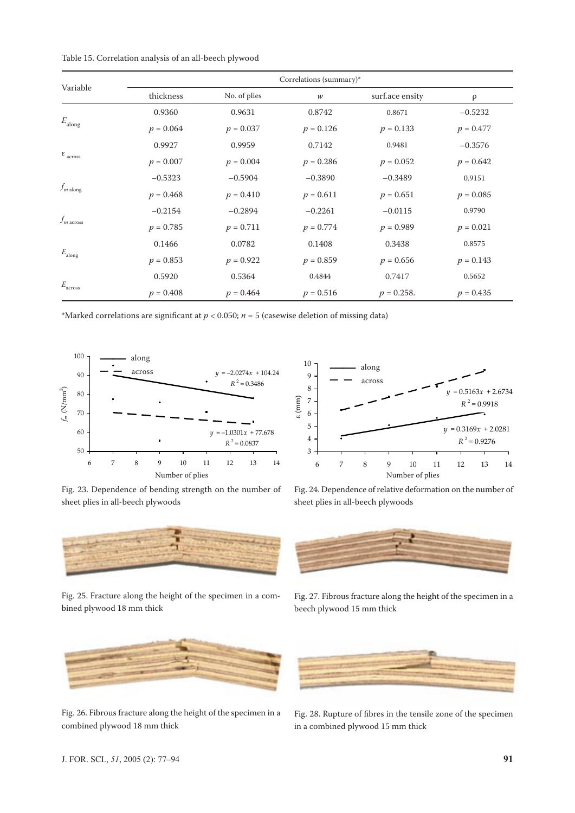|  | Table 15. Correlation analysis of an all-beech plywood |  |  |  |  |
|--|--------------------------------------------------------|--|--|--|--|
|--|--------------------------------------------------------|--|--|--|--|

|                            |             | Correlations (summary)* |             |                 |             |  |  |  |
|----------------------------|-------------|-------------------------|-------------|-----------------|-------------|--|--|--|
| Variable                   | thickness   | No. of plies            | W           | surf.ace ensity | ρ           |  |  |  |
|                            | 0.9360      | 0.9631                  | 0.8742      | 0.8671          | $-0.5232$   |  |  |  |
| $E_{\rm along}$            | $p = 0.064$ | $p = 0.037$             | $p = 0.126$ | $p = 0.133$     | $p = 0.477$ |  |  |  |
|                            | 0.9927      | 0.9959                  | 0.7142      | 0.9481          | $-0.3576$   |  |  |  |
| $\epsilon$ $_{\rm across}$ | $p = 0.007$ | $p = 0.004$             | $p = 0.286$ | $p = 0.052$     | $p = 0.642$ |  |  |  |
| $f_{m \text{ along}}$      | $-0.5323$   | $-0.5904$               | $-0.3890$   | $-0.3489$       | 0.9151      |  |  |  |
|                            | $p = 0.468$ | $p = 0.410$             | $p = 0.611$ | $p = 0.651$     | $p = 0.085$ |  |  |  |
|                            | $-0.2154$   | $-0.2894$               | $-0.2261$   | $-0.0115$       | 0.9790      |  |  |  |
| $f_{m \text{ across}}$     | $p = 0.785$ | $p = 0.711$             | $p = 0.774$ | $p = 0.989$     | $p = 0.021$ |  |  |  |
|                            | 0.1466      | 0.0782                  | 0.1408      | 0.3438          | 0.8575      |  |  |  |
| $E_{\rm along}$            | $p = 0.853$ | $p = 0.922$             | $p = 0.859$ | $p = 0.656$     | $p = 0.143$ |  |  |  |
| $E_{\rm across}$           | 0.5920      | 0.5364                  | 0.4844      | 0.7417          | 0.5652      |  |  |  |
|                            | $p = 0.408$ | $p = 0.464$             | $p = 0.516$ | $p = 0.258$ .   | $p = 0.435$ |  |  |  |

\*Marked correlations are significant at  $p < 0.050$ ;  $n = 5$  (casewise deletion of missing data)



Fig. 23. Dependence of bending strength on the number of sheet plies in all-beech plywoods



Fig. 24. Dependence of relative deformation on the number of sheet plies in all-beech plywoods



Fig. 25. Fracture along the height of the specimen in a combined plywood 18 mm thick



Fig. 27. Fibrous fracture along the height of the specimen in a beech plywood 15 mm thick



Fig. 26. Fibrous fracture along the height of the specimen in a combined plywood 18 mm thick



Fig. 28. Rupture of fibres in the tensile zone of the specimen in a combined plywood 15 mm thick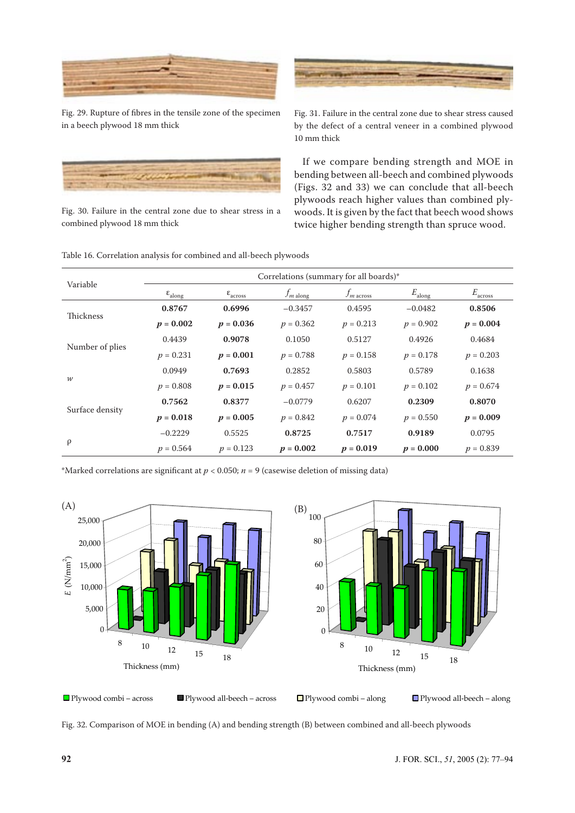

Fig. 29. Rupture of fibres in the tensile zone of the specimen in a beech plywood 18 mm thick



Fig. 30. Failure in the central zone due to shear stress in a combined plywood 18 mm thick



Fig. 31. Failure in the central zone due to shear stress caused by the defect of a central veneer in a combined plywood 10 mm thick

If we compare bending strength and MOE in bending between all-beech and combined plywoods (Figs. 32 and 33) we can conclude that all-beech plywoods reach higher values than combined plywoods. It is given by the fact that beech wood shows twice higher bending strength than spruce wood.

|                 | Correlations (summary for all boards)* |                                         |                       |                        |                 |                  |  |  |  |
|-----------------|----------------------------------------|-----------------------------------------|-----------------------|------------------------|-----------------|------------------|--|--|--|
| Variable        | $\varepsilon$ <sub>along</sub>         | $\boldsymbol{\epsilon}_{\text{across}}$ | $f_{m \text{ along}}$ | $f_{m \text{ across}}$ | $E_{\rm along}$ | $E_{\rm across}$ |  |  |  |
| Thickness       | 0.8767                                 | 0.6996                                  | $-0.3457$             | 0.4595                 | $-0.0482$       | 0.8506           |  |  |  |
|                 | $p = 0.002$                            | $p = 0.036$                             | $p = 0.362$           | $p = 0.213$            | $p = 0.902$     | $p = 0.004$      |  |  |  |
|                 | 0.4439                                 | 0.9078                                  | 0.1050                | 0.5127                 | 0.4926          | 0.4684           |  |  |  |
| Number of plies | $p = 0.231$                            | $p = 0.001$                             | $p = 0.788$           | $p = 0.158$            | $p = 0.178$     | $p = 0.203$      |  |  |  |
|                 | 0.0949                                 | 0.7693                                  | 0.2852                | 0.5803                 | 0.5789          | 0.1638           |  |  |  |
| W               | $p = 0.808$                            | $p = 0.015$                             | $p = 0.457$           | $p = 0.101$            | $p = 0.102$     | $p = 0.674$      |  |  |  |
|                 | 0.7562                                 | 0.8377                                  | $-0.0779$             | 0.6207                 | 0.2309          | 0.8070           |  |  |  |
| Surface density | $p = 0.018$                            | $p = 0.005$                             | $p = 0.842$           | $p = 0.074$            | $p = 0.550$     | $p = 0.009$      |  |  |  |
|                 | $-0.2229$                              | 0.5525                                  | 0.8725                | 0.7517                 | 0.9189          | 0.0795           |  |  |  |
| $\rho$          | $p = 0.564$                            | $p = 0.123$                             | $p = 0.002$           | $p = 0.019$            | $p = 0.000$     | $p = 0.839$      |  |  |  |

Table 16. Correlation analysis for combined and all-beech plywoods

\*Marked correlations are significant at  $p < 0.050$ ;  $n = 9$  (casewise deletion of missing data)



Plywood combi – across Plywood all�beech – across Plywood combi – along Plywood all�beech – along

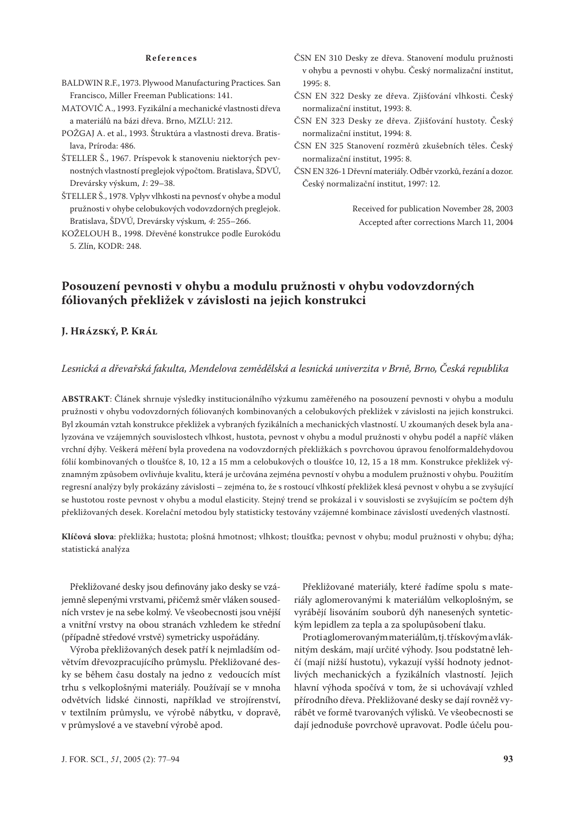#### **R e f e r e n c e s**

- BALDWIN R.F., 1973. Plywood Manufacturing Practices*.* San Francisco, Miller Freeman Publications: 141.
- MATOVIČ A., 1993. Fyzikální a mechanické vlastnosti dřeva a materiálů na bázi dřeva. Brno, MZLU: 212.
- POŽGAJ A. et al., 1993. Štruktúra a vlastnosti dreva. Bratislava, Príroda: 486.
- ŠTELLER Š., 1967. Príspevok k stanoveniu niektorých pevnostných vlastností preglejok výpočtom. Bratislava, ŠDVÚ, Drevársky výskum, *1*: 29–38.
- ŠTELLER Š., 1978. Vplyv vlhkosti na pevnosť v ohybe a modul pružnosti v ohybe celobukových vodovzdorných preglejok. Bratislava, ŠDVÚ, Drevársky výskum*, 4*: 255–266.
- KOŽELOUH B., 1998. Dřevěné konstrukce podle Eurokódu 5. Zlín, KODR: 248.
- ČSN EN 310 Desky ze dřeva. Stanovení modulu pružnosti v ohybu a pevnosti v ohybu. Český normalizační institut, 1995: 8.
- ČSN EN 322 Desky ze dřeva. Zjišťování vlhkosti. Český normalizační institut, 1993: 8.
- ČSN EN 323 Desky ze dřeva. Zjišťování hustoty. Český normalizační institut, 1994: 8.
- ČSN EN 325 Stanovení rozměrů zkušebních těles. Český normalizační institut, 1995: 8.
- ČSN EN 326-1 Dřevní materiály. Odběr vzorků, řezání a dozor. Český normalizační institut, 1997: 12.

Received for publication November 28, 2003 Accepted after corrections March 11, 2004

# **Posouzení pevnosti v ohybu a modulu pružnosti v ohybu vodovzdorných fóliovaných překližek v závislosti na jejich konstrukci**

#### **J. HRÁZSKÝ, P. KRÁL**

#### *Lesnická a dřevařská fakulta, Mendelova zemědělská a lesnická univerzita v Brně, Brno, Česká republika*

**ABSTRAKT**: Článek shrnuje výsledky institucionálního výzkumu zaměřeného na posouzení pevnosti v ohybu a modulu pružnosti v ohybu vodovzdorných fóliovaných kombinovaných a celobukových překližek v závislosti na jejich konstrukci. Byl zkoumán vztah konstrukce překližek a vybraných fyzikálních a mechanických vlastností. U zkoumaných desek byla analyzována ve vzájemných souvislostech vlhkost, hustota, pevnost v ohybu a modul pružnosti v ohybu podél a napříč vláken vrchní dýhy. Veškerá měření byla provedena na vodovzdorných překližkách s povrchovou úpravou fenolformaldehydovou fólií kombinovaných o tloušťce 8, 10, 12 a 15 mm a celobukových o tloušťce 10, 12, 15 a 18 mm. Konstrukce překližek významným způsobem ovlivňuje kvalitu, která je určována zejména pevností v ohybu a modulem pružnosti v ohybu. Použitím regresní analýzy byly prokázány závislosti – zejména to, že s rostoucí vlhkostí překližek klesá pevnost v ohybu a se zvyšující se hustotou roste pevnost v ohybu a modul elasticity. Stejný trend se prokázal i v souvislosti se zvyšujícím se počtem dýh překližovaných desek. Korelační metodou byly statisticky testovány vzájemné kombinace závislostí uvedených vlastností.

**Klíčová slova**: překližka; hustota; plošná hmotnost; vlhkost; tloušťka; pevnost v ohybu; modul pružnosti v ohybu; dýha; statistická analýza

Překližované desky jsou definovány jako desky se vzájemně slepenými vrstvami, přičemž směr vláken sousedních vrstev je na sebe kolmý. Ve všeobecnosti jsou vnější a vnitřní vrstvy na obou stranách vzhledem ke střední (případně středové vrstvě) symetricky uspořádány.

Výroba překližovaných desek patří k nejmladším odvětvím dřevozpracujícího průmyslu. Překližované desky se během času dostaly na jedno z vedoucích míst trhu s velkoplošnými materiály. Používají se v mnoha odvětvích lidské činnosti, například ve strojírenství, v textilním průmyslu, ve výrobě nábytku, v dopravě, v průmyslové a ve stavební výrobě apod.

Překližované materiály, které řadíme spolu s materiály aglomerovanými k materiálům velkoplošným, se vyrábějí lisováním souborů dýh nanesených syntetickým lepidlem za tepla a za spolupůsobení tlaku.

Proti aglomerovaným materiálům, tj. třískovým a vláknitým deskám, mají určité výhody. Jsou podstatně lehčí (mají nižší hustotu), vykazují vyšší hodnoty jednotlivých mechanických a fyzikálních vlastností. Jejich hlavní výhoda spočívá v tom, že si uchovávají vzhled přírodního dřeva. Překližované desky se dají rovněž vyrábět ve formě tvarovaných výlisků. Ve všeobecnosti se dají jednoduše povrchově upravovat. Podle účelu pou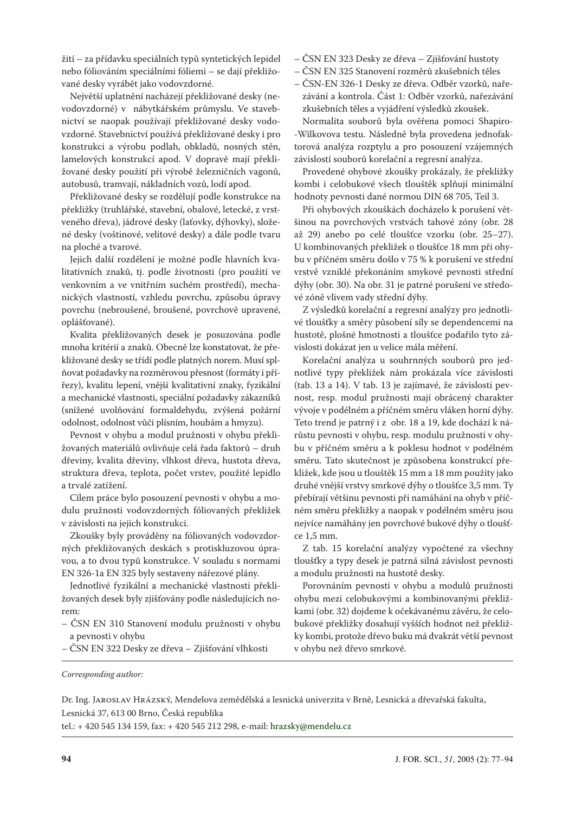žití – za přídavku speciálních typů syntetických lepidel nebo fóliováním speciálními fóliemi – se dají překližované desky vyrábět jako vodovzdorné.

Největší uplatnění nacházejí překližované desky (nevodovzdorné) v nábytkářském průmyslu. Ve stavebnictví se naopak používají překližované desky vodovzdorné. Stavebnictví používá překližované desky i pro konstrukci a výrobu podlah, obkladů, nosných stěn, lamelových konstrukcí apod. V dopravě mají překližované desky použití při výrobě železničních vagonů, autobusů, tramvají, nákladních vozů, lodí apod.

Překližované desky se rozdělují podle konstrukce na překližky (truhlářské, stavební, obalové, letecké, z vrstveného dřeva), jádrové desky (laťovky, dýhovky), složené desky (voštinové, velitové desky) a dále podle tvaru na ploché a tvarové.

Jejich další rozdělení je možné podle hlavních kvalitativních znaků, tj. podle životnosti (pro použití ve venkovním a ve vnitřním suchém prostředí), mechanických vlastností, vzhledu povrchu, způsobu úpravy povrchu (nebroušené, broušené, povrchově upravené, oplášťované).

Kvalita překližovaných desek je posuzována podle mnoha kritérií a znaků. Obecně lze konstatovat, že překližované desky se třídí podle platných norem. Musí splňovat požadavky na rozměrovou přesnost (formáty i přířezy), kvalitu lepení, vnější kvalitativní znaky, fyzikální a mechanické vlastnosti, speciální požadavky zákazníků (snížené uvolňování formaldehydu, zvýšená požární odolnost, odolnost vůči plísním, houbám a hmyzu).

Pevnost v ohybu a modul pružnosti v ohybu překližovaných materiálů ovlivňuje celá řada faktorů – druh dřeviny, kvalita dřeviny, vlhkost dřeva, hustota dřeva, struktura dřeva, teplota, počet vrstev, použité lepidlo a trvalé zatížení.

Cílem práce bylo posouzení pevnosti v ohybu a modulu pružnosti vodovzdorných fóliovaných překližek v závislosti na jejich konstrukci.

Zkoušky byly prováděny na fóliovaných vodovzdorných překližovaných deskách s protiskluzovou úpravou, a to dvou typů konstrukce. V souladu s normami EN 326-1a EN 325 byly sestaveny nářezové plány.

Jednotlivé fyzikální a mechanické vlastnosti překližovaných desek byly zjišťovány podle následujících norem:

- ČSN EN 310 Stanovení modulu pružnosti v ohybu a pevnosti v ohybu
- ČSN EN 322 Desky ze dřeva Zjišťování vlhkosti
- ČSN EN 323 Desky ze dřeva Zjišťování hustoty
- ČSN EN 325 Stanovení rozměrů zkušebních těles
- ČSN-EN 326-1 Desky ze dřeva. Odběr vzorků, nařezávání a kontrola. Část 1: Odběr vzorků, nařezávání zkušebních těles a vyjádření výsledků zkoušek.

Normalita souborů byla ověřena pomoci Shapiro- -Wilkovova testu. Následně byla provedena jednofaktorová analýza rozptylu a pro posouzení vzájemných závislostí souborů korelační a regresní analýza.

Provedené ohybové zkoušky prokázaly, že překližky kombi i celobukové všech tlouštěk splňují minimální hodnoty pevnosti dané normou DIN 68 705, Teil 3.

Při ohybových zkouškách docházelo k porušení většinou na povrchových vrstvách tahové zóny (obr. 28 až 29) anebo po celé tloušťce vzorku (obr. 25–27). U kombinovaných překližek o tloušťce 18 mm při ohybu v příčném směru došlo v 75 % k porušení ve střední vrstvě vzniklé překonáním smykové pevnosti střední dýhy (obr. 30). Na obr. 31 je patrné porušení ve středové zóně vlivem vady střední dýhy.

Z výsledků korelační a regresní analýzy pro jednotlivé tloušťky a směry působení síly se dependencemi na hustotě, plošné hmotnosti a tloušťce podařilo tyto závislosti dokázat jen u velice mála měření.

Korelační analýza u souhrnných souborů pro jednotlivé typy překližek nám prokázala více závislosti (tab. 13 a 14). V tab. 13 je zajímavé, že závislosti pevnost, resp. modul pružnosti mají obrácený charakter vývoje v podélném a příčném směru vláken horní dýhy. Teto trend je patrný i z obr. 18 a 19, kde dochází k nárůstu pevnosti v ohybu, resp. modulu pružnosti v ohybu v příčném směru a k poklesu hodnot v podélném směru. Tato skutečnost je způsobena konstrukcí překližek, kde jsou u tlouštěk 15 mm a 18 mm použity jako druhé vnější vrstvy smrkové dýhy o tloušťce 3,5 mm. Ty přebírají většinu pevnosti při namáhání na ohyb v příčném směru překližky a naopak v podélném směru jsou nejvíce namáhány jen povrchové bukové dýhy o tloušťce 1,5 mm.

Z tab. 15 korelační analýzy vypočtené za všechny tloušťky a typy desek je patrná silná závislost pevnosti a modulu pružnosti na hustotě desky.

Porovnáním pevnosti v ohybu a modulů pružnosti ohybu mezi celobukovými a kombinovanými překližkami (obr. 32) dojdeme k očekávanému závěru, že celobukové překližky dosahují vyšších hodnot než překližky kombi, protože dřevo buku má dvakrát větší pevnost v ohybu než dřevo smrkové.

*Corresponding author:*

Dr. Ing. JAROSLAV HRÁZSKÝ, Mendelova zemědělská a lesnická univerzita v Brně, Lesnická a dřevařská fakulta, Lesnická 37, 613 00 Brno, Česká republika

tel.: + 420 545 134 159, fax: + 420 545 212 298, e-mail: hrazsky@mendelu.cz